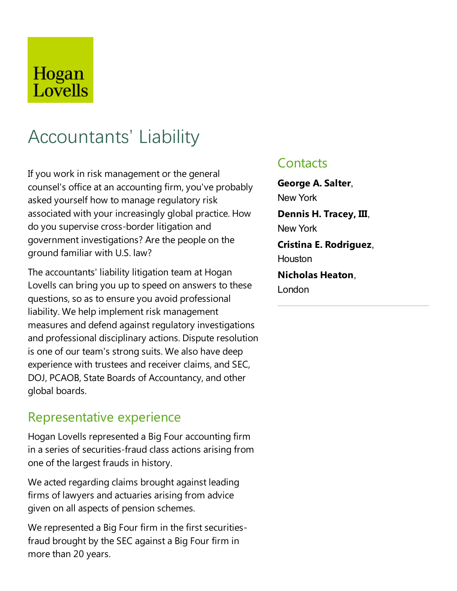## Hogan Lovells

# Accountants' Liability

If you work in risk management or the general counsel's office at an accounting firm, you've probably asked yourself how to manage regulatory risk associated with your increasingly global practice. How do you supervisecross-border litigation and government investigations? Are the people on the ground familiar with U.S. law?

The accountants' liability litigation team at Hogan Lovells can bring you up to speed on answers to these questions, so as to ensure you avoid professional liability. We help implement risk management measures and defend against regulatory investigations and professional disciplinary actions. Dispute resolution is one of our team's strong suits. We also have deep experience with trustees and receiver claims, and SEC, DOJ, PCAOB, State Boards of Accountancy, and other global boards.

#### Representative experience

Hogan Lovells represented a Big Four accounting firm in a series of securities-fraud class actions arising from one of the largest frauds in history.

We acted regarding claims brought against leading firms of lawyers and actuaries arising from advice given on all aspects of pension schemes.

We represented a Big Four firm in the first securitiesfraud brought by the SEC against a Big Four firm in more than 20 years.

#### **Contacts**

London

**George A. Salter**, New York **Dennis H. Tracey, III**, New York **Cristina E. Rodriguez**, Houston **Nicholas Heaton**,